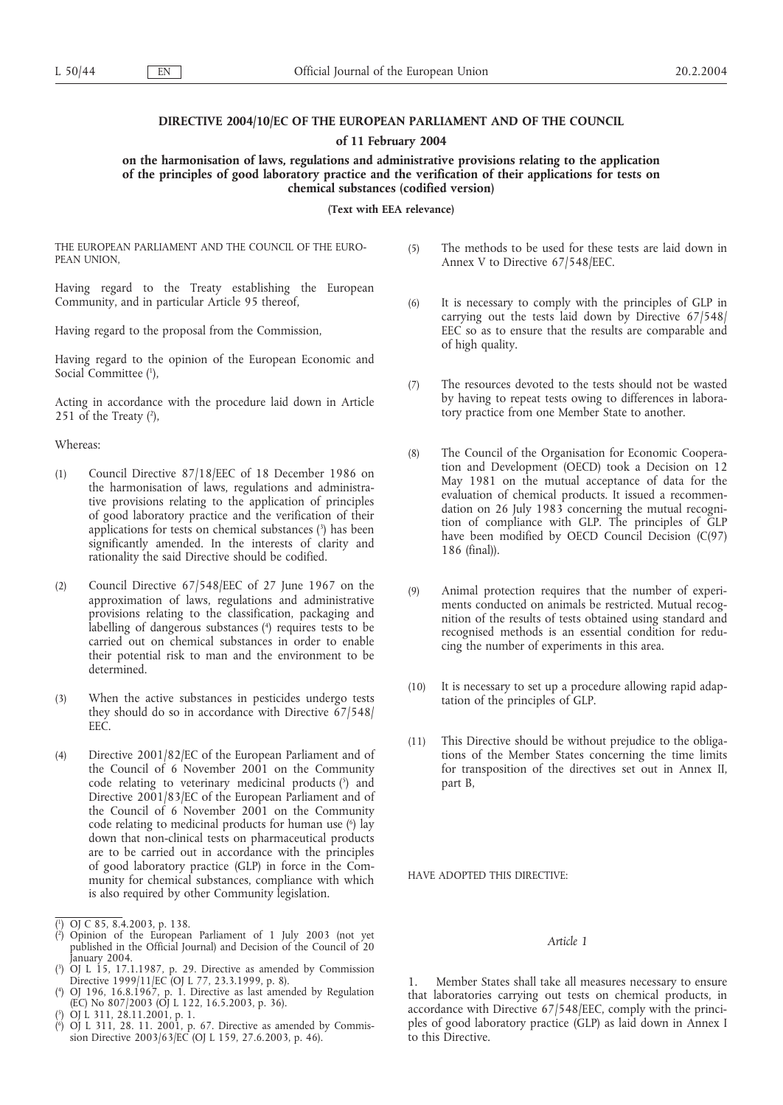# **DIRECTIVE 2004/10/EC OF THE EUROPEAN PARLIAMENT AND OF THE COUNCIL**

**of 11 February 2004**

**on the harmonisation of laws, regulations and administrative provisions relating to the application of the principles of good laboratory practice and the verification of their applications for tests on chemical substances (codified version)**

**(Text with EEA relevance)**

THE EUROPEAN PARLIAMENT AND THE COUNCIL OF THE EURO-PEAN UNION,

Having regard to the Treaty establishing the European Community, and in particular Article 95 thereof,

Having regard to the proposal from the Commission,

Having regard to the opinion of the European Economic and Social Committee (1),

Acting in accordance with the procedure laid down in Article 251 of the Treaty  $(2)$ ,

Whereas:

- (1) Council Directive 87/18/EEC of 18 December 1986 on the harmonisation of laws, regulations and administrative provisions relating to the application of principles of good laboratory practice and the verification of their applications for tests on chemical substances (3 ) has been significantly amended. In the interests of clarity and rationality the said Directive should be codified.
- (2) Council Directive 67/548/EEC of 27 June 1967 on the approximation of laws, regulations and administrative provisions relating to the classification, packaging and labelling of dangerous substances (4 ) requires tests to be carried out on chemical substances in order to enable their potential risk to man and the environment to be determined.
- (3) When the active substances in pesticides undergo tests they should do so in accordance with Directive 67/548/ EEC.
- (4) Directive 2001/82/EC of the European Parliament and of the Council of 6 November 2001 on the Community code relating to veterinary medicinal products (5) and Directive 2001/83/EC of the European Parliament and of the Council of  $6$  November 2001 on the Community code relating to medicinal products for human use (°) lay down that non-clinical tests on pharmaceutical products are to be carried out in accordance with the principles of good laboratory practice (GLP) in force in the Community for chemical substances, compliance with which is also required by other Community legislation.

- ( 2 ) Opinion of the European Parliament of 1 July 2003 (not yet published in the Official Journal) and Decision of the Council of 20 January 2004.
- ( 3 ) OJ L 15, 17.1.1987, p. 29. Directive as amended by Commission Directive 1999/11/EC (OJ L 77, 23.3.1999, p. 8).

- ( 5 ) OJ L 311, 28.11.2001, p. 1.
- ( 6 ) OJ L 311, 28. 11. 2001, p. 67. Directive as amended by Commission Directive 2003/63/EC (OJ L 159, 27.6.2003, p. 46).
- (5) The methods to be used for these tests are laid down in Annex V to Directive 67/548/EEC.
- (6) It is necessary to comply with the principles of GLP in carrying out the tests laid down by Directive 67/548/ EEC so as to ensure that the results are comparable and of high quality.
- (7) The resources devoted to the tests should not be wasted by having to repeat tests owing to differences in laboratory practice from one Member State to another.
- (8) The Council of the Organisation for Economic Cooperation and Development (OECD) took a Decision on 12 May 1981 on the mutual acceptance of data for the evaluation of chemical products. It issued a recommendation on 26 July 1983 concerning the mutual recognition of compliance with GLP. The principles of GLP have been modified by OECD Council Decision (C(97) 186 (final)).
- (9) Animal protection requires that the number of experiments conducted on animals be restricted. Mutual recognition of the results of tests obtained using standard and recognised methods is an essential condition for reducing the number of experiments in this area.
- (10) It is necessary to set up a procedure allowing rapid adaptation of the principles of GLP.
- (11) This Directive should be without prejudice to the obligations of the Member States concerning the time limits for transposition of the directives set out in Annex II, part B,

## HAVE ADOPTED THIS DIRECTIVE:

## *Article 1*

1. Member States shall take all measures necessary to ensure that laboratories carrying out tests on chemical products, in accordance with Directive 67/548/EEC, comply with the principles of good laboratory practice (GLP) as laid down in Annex I to this Directive.

<sup>(</sup> 1 ) OJ C 85, 8.4.2003, p. 138.

<sup>(</sup> 4 ) OJ 196, 16.8.1967, p. 1. Directive as last amended by Regulation (EC) No 807/2003 (OJ L 122, 16.5.2003, p. 36).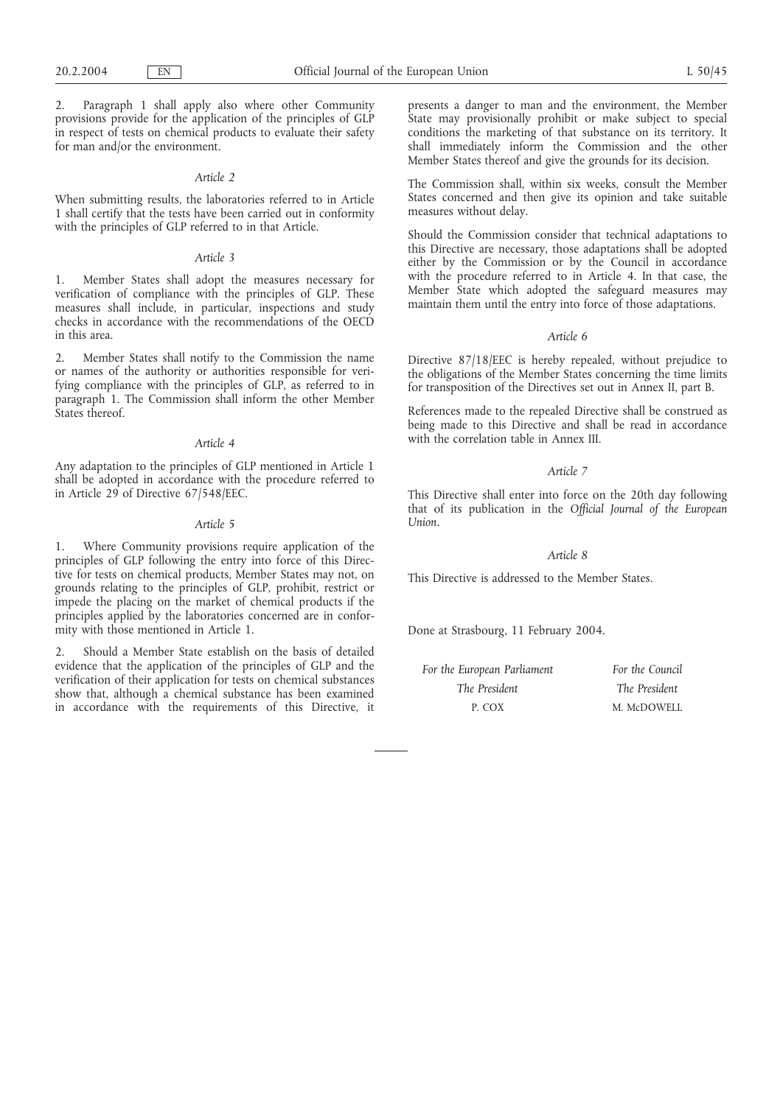2. Paragraph 1 shall apply also where other Community provisions provide for the application of the principles of GLP in respect of tests on chemical products to evaluate their safety for man and/or the environment.

#### *Article 2*

When submitting results, the laboratories referred to in Article 1 shall certify that the tests have been carried out in conformity with the principles of GLP referred to in that Article.

## *Article 3*

1. Member States shall adopt the measures necessary for verification of compliance with the principles of GLP. These measures shall include, in particular, inspections and study checks in accordance with the recommendations of the OECD in this area.

2. Member States shall notify to the Commission the name or names of the authority or authorities responsible for verifying compliance with the principles of GLP, as referred to in paragraph 1. The Commission shall inform the other Member States thereof.

#### *Article 4*

Any adaptation to the principles of GLP mentioned in Article 1 shall be adopted in accordance with the procedure referred to in Article 29 of Directive 67/548/EEC.

#### *Article 5*

1. Where Community provisions require application of the principles of GLP following the entry into force of this Directive for tests on chemical products, Member States may not, on grounds relating to the principles of GLP, prohibit, restrict or impede the placing on the market of chemical products if the principles applied by the laboratories concerned are in conformity with those mentioned in Article 1.

2. Should a Member State establish on the basis of detailed evidence that the application of the principles of GLP and the verification of their application for tests on chemical substances show that, although a chemical substance has been examined in accordance with the requirements of this Directive, it

presents a danger to man and the environment, the Member State may provisionally prohibit or make subject to special conditions the marketing of that substance on its territory. It shall immediately inform the Commission and the other Member States thereof and give the grounds for its decision.

The Commission shall, within six weeks, consult the Member States concerned and then give its opinion and take suitable measures without delay.

Should the Commission consider that technical adaptations to this Directive are necessary, those adaptations shall be adopted either by the Commission or by the Council in accordance with the procedure referred to in Article 4. In that case, the Member State which adopted the safeguard measures may maintain them until the entry into force of those adaptations.

#### *Article 6*

Directive 87/18/EEC is hereby repealed, without prejudice to the obligations of the Member States concerning the time limits for transposition of the Directives set out in Annex II, part B.

References made to the repealed Directive shall be construed as being made to this Directive and shall be read in accordance with the correlation table in Annex III.

#### *Article 7*

This Directive shall enter into force on the 20th day following that of its publication in the *Official Journal of the European Union*.

## *Article 8*

This Directive is addressed to the Member States.

Done at Strasbourg, 11 February 2004.

| For the European Parliament | For the Council |
|-----------------------------|-----------------|
| The President               | The President   |
| P. COX                      | M. McDOWELL     |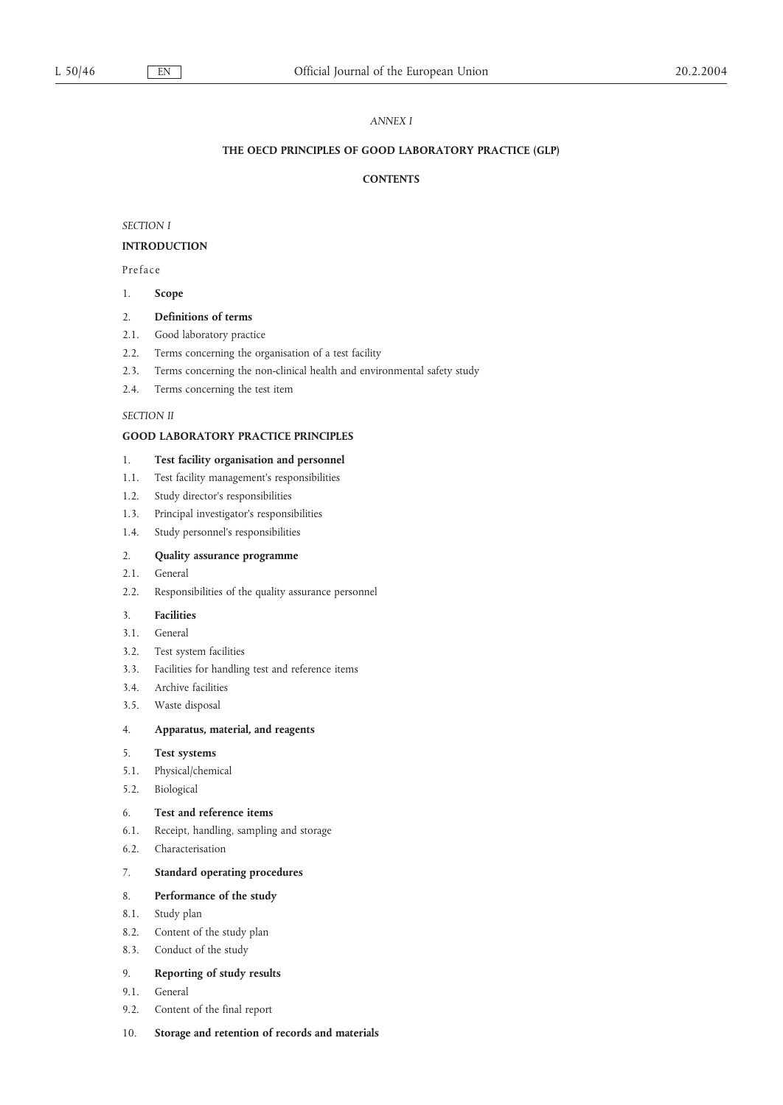## *ANNEX I*

## **THE OECD PRINCIPLES OF GOOD LABORATORY PRACTICE (GLP)**

## **CONTENTS**

*SECTION I*

## **INTRODUCTION**

Preface

## 1. **Scope**

### 2. **Definitions of terms**

- 2.1. Good laboratory practice
- 2.2. Terms concerning the organisation of a test facility
- 2.3. Terms concerning the non-clinical health and environmental safety study
- 2.4. Terms concerning the test item

### *SECTION II*

## **GOOD LABORATORY PRACTICE PRINCIPLES**

#### 1. **Test facility organisation and personnel**

- 1.1. Test facility management's responsibilities
- 1.2. Study director's responsibilities
- 1.3. Principal investigator's responsibilities
- 1.4. Study personnel's responsibilities

## 2. **Quality assurance programme**

- 2.1. General
- 2.2. Responsibilities of the quality assurance personnel

## 3. **Facilities**

- 3.1. General
- 3.2. Test system facilities
- 3.3. Facilities for handling test and reference items
- 3.4. Archive facilities
- 3.5. Waste disposal

## 4. **Apparatus, material, and reagents**

## 5. **Test systems**

- 5.1. Physical/chemical
- 5.2. Biological

## 6. **Test and reference items**

- 6.1. Receipt, handling, sampling and storage
- 6.2. Characterisation

# 7. **Standard operating procedures**

## 8. **Performance of the study**

- 8.1. Study plan
- 8.2. Content of the study plan
- 8.3. Conduct of the study

# 9. **Reporting of study results**

- 9.1. General
- 9.2. Content of the final report
- 10. **Storage and retention of records and materials**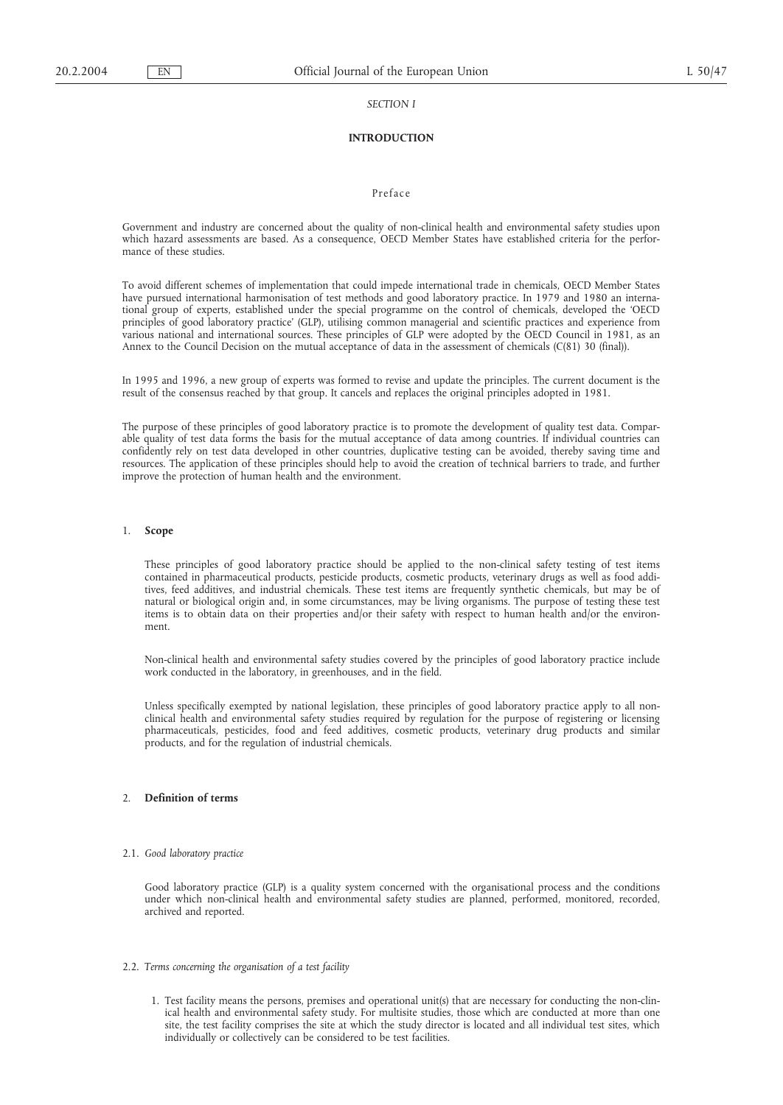#### *SECTION I*

## **INTRODUCTION**

## Preface

Government and industry are concerned about the quality of non-clinical health and environmental safety studies upon which hazard assessments are based. As a consequence, OECD Member States have established criteria for the performance of these studies.

To avoid different schemes of implementation that could impede international trade in chemicals, OECD Member States have pursued international harmonisation of test methods and good laboratory practice. In 1979 and 1980 an international group of experts, established under the special programme on the control of chemicals, developed the 'OECD principles of good laboratory practice' (GLP), utilising common managerial and scientific practices and experience from various national and international sources. These principles of GLP were adopted by the OECD Council in 1981, as an Annex to the Council Decision on the mutual acceptance of data in the assessment of chemicals (C(81) 30 (final)).

In 1995 and 1996, a new group of experts was formed to revise and update the principles. The current document is the result of the consensus reached by that group. It cancels and replaces the original principles adopted in 1981.

The purpose of these principles of good laboratory practice is to promote the development of quality test data. Comparable quality of test data forms the basis for the mutual acceptance of data among countries. If individual countries can confidently rely on test data developed in other countries, duplicative testing can be avoided, thereby saving time and resources. The application of these principles should help to avoid the creation of technical barriers to trade, and further improve the protection of human health and the environment.

#### 1. **Scope**

These principles of good laboratory practice should be applied to the non-clinical safety testing of test items contained in pharmaceutical products, pesticide products, cosmetic products, veterinary drugs as well as food additives, feed additives, and industrial chemicals. These test items are frequently synthetic chemicals, but may be of natural or biological origin and, in some circumstances, may be living organisms. The purpose of testing these test items is to obtain data on their properties and/or their safety with respect to human health and/or the environment.

Non-clinical health and environmental safety studies covered by the principles of good laboratory practice include work conducted in the laboratory, in greenhouses, and in the field.

Unless specifically exempted by national legislation, these principles of good laboratory practice apply to all nonclinical health and environmental safety studies required by regulation for the purpose of registering or licensing pharmaceuticals, pesticides, food and feed additives, cosmetic products, veterinary drug products and similar products, and for the regulation of industrial chemicals.

### 2. **Definition of terms**

#### 2.1. *Good laboratory practice*

Good laboratory practice (GLP) is a quality system concerned with the organisational process and the conditions under which non-clinical health and environmental safety studies are planned, performed, monitored, recorded, archived and reported.

- 2.2. *Terms concerning the organisation of a test facility*
	- 1. Test facility means the persons, premises and operational unit(s) that are necessary for conducting the non-clinical health and environmental safety study. For multisite studies, those which are conducted at more than one site, the test facility comprises the site at which the study director is located and all individual test sites, which individually or collectively can be considered to be test facilities.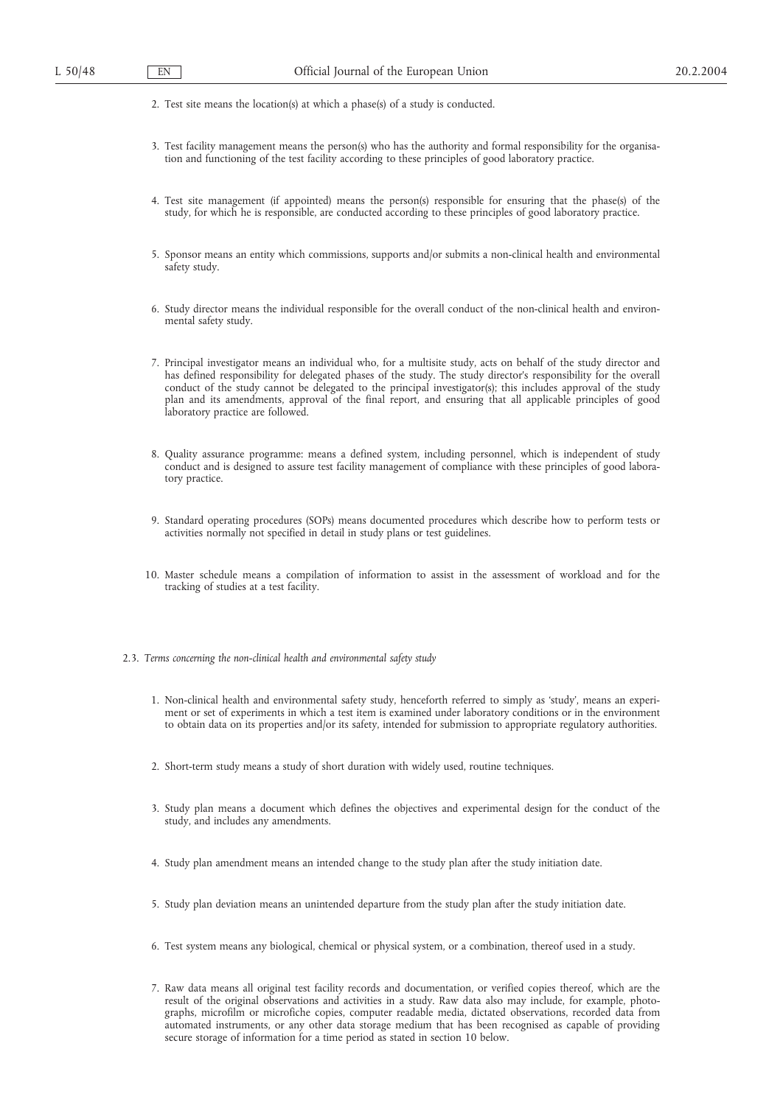- 2. Test site means the location(s) at which a phase(s) of a study is conducted.
- 3. Test facility management means the person(s) who has the authority and formal responsibility for the organisation and functioning of the test facility according to these principles of good laboratory practice.
- 4. Test site management (if appointed) means the person(s) responsible for ensuring that the phase(s) of the study, for which he is responsible, are conducted according to these principles of good laboratory practice.
- 5. Sponsor means an entity which commissions, supports and/or submits a non-clinical health and environmental safety study.
- 6. Study director means the individual responsible for the overall conduct of the non-clinical health and environmental safety study.
- 7. Principal investigator means an individual who, for a multisite study, acts on behalf of the study director and has defined responsibility for delegated phases of the study. The study director's responsibility for the overall conduct of the study cannot be delegated to the principal investigator(s); this includes approval of the study plan and its amendments, approval of the final report, and ensuring that all applicable principles of good laboratory practice are followed.
- 8. Quality assurance programme: means a defined system, including personnel, which is independent of study conduct and is designed to assure test facility management of compliance with these principles of good laboratory practice.
- 9. Standard operating procedures (SOPs) means documented procedures which describe how to perform tests or activities normally not specified in detail in study plans or test guidelines.
- 10. Master schedule means a compilation of information to assist in the assessment of workload and for the tracking of studies at a test facility.
- 2.3. *Terms concerning the non-clinical health and environmental safety study*
	- 1. Non-clinical health and environmental safety study, henceforth referred to simply as 'study', means an experiment or set of experiments in which a test item is examined under laboratory conditions or in the environment to obtain data on its properties and/or its safety, intended for submission to appropriate regulatory authorities.
	- 2. Short-term study means a study of short duration with widely used, routine techniques.
	- 3. Study plan means a document which defines the objectives and experimental design for the conduct of the study, and includes any amendments.
	- 4. Study plan amendment means an intended change to the study plan after the study initiation date.
	- 5. Study plan deviation means an unintended departure from the study plan after the study initiation date.
	- 6. Test system means any biological, chemical or physical system, or a combination, thereof used in a study.
	- 7. Raw data means all original test facility records and documentation, or verified copies thereof, which are the result of the original observations and activities in a study. Raw data also may include, for example, photographs, microfilm or microfiche copies, computer readable media, dictated observations, recorded data from automated instruments, or any other data storage medium that has been recognised as capable of providing secure storage of information for a time period as stated in section 10 below.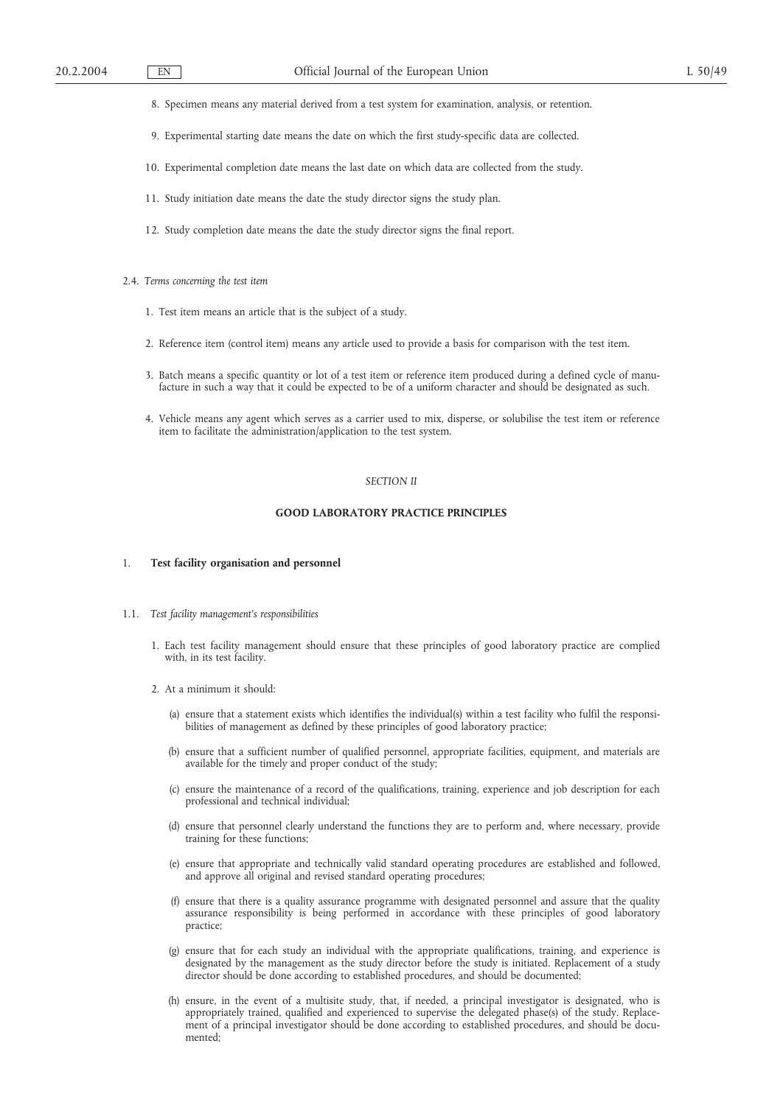- 8. Specimen means any material derived from a test system for examination, analysis, or retention.
- 9. Experimental starting date means the date on which the first study-specific data are collected.
- 10. Experimental completion date means the last date on which data are collected from the study.
- 11. Study initiation date means the date the study director signs the study plan.
- 12. Study completion date means the date the study director signs the final report.
- 2.4. *Terms concerning the test item*
	- 1. Test item means an article that is the subject of a study.
	- 2. Reference item (control item) means any article used to provide a basis for comparison with the test item.
	- 3. Batch means a specific quantity or lot of a test item or reference item produced during a defined cycle of manufacture in such a way that it could be expected to be of a uniform character and should be designated as such.
	- 4. Vehicle means any agent which serves as a carrier used to mix, disperse, or solubilise the test item or reference item to facilitate the administration/application to the test system.

#### *SECTION II*

#### **GOOD LABORATORY PRACTICE PRINCIPLES**

#### 1. **Test facility organisation and personnel**

- 1.1. *Test facility management's responsibilities*
	- 1. Each test facility management should ensure that these principles of good laboratory practice are complied with, in its test facility.
	- 2. At a minimum it should:
		- (a) ensure that a statement exists which identifies the individual(s) within a test facility who fulfil the responsibilities of management as defined by these principles of good laboratory practice;
		- (b) ensure that a sufficient number of qualified personnel, appropriate facilities, equipment, and materials are available for the timely and proper conduct of the study;
		- (c) ensure the maintenance of a record of the qualifications, training, experience and job description for each professional and technical individual;
		- (d) ensure that personnel clearly understand the functions they are to perform and, where necessary, provide training for these functions;
		- (e) ensure that appropriate and technically valid standard operating procedures are established and followed, and approve all original and revised standard operating procedures;
		- (f) ensure that there is a quality assurance programme with designated personnel and assure that the quality assurance responsibility is being performed in accordance with these principles of good laboratory practice;
		- (g) ensure that for each study an individual with the appropriate qualifications, training, and experience is designated by the management as the study director before the study is initiated. Replacement of a study director should be done according to established procedures, and should be documented;
		- (h) ensure, in the event of a multisite study, that, if needed, a principal investigator is designated, who is appropriately trained, qualified and experienced to supervise the delegated phase(s) of the study. Replacement of a principal investigator should be done according to established procedures, and should be documented;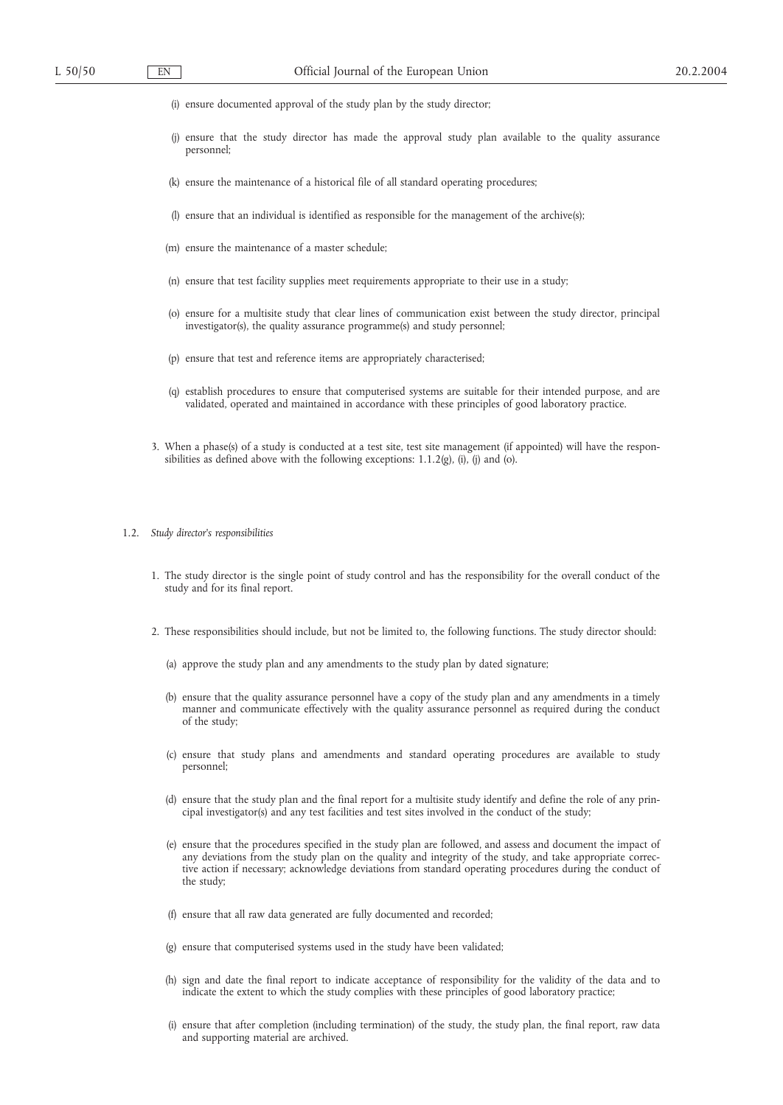- (i) ensure documented approval of the study plan by the study director;
- (j) ensure that the study director has made the approval study plan available to the quality assurance personnel;
- (k) ensure the maintenance of a historical file of all standard operating procedures;
- (l) ensure that an individual is identified as responsible for the management of the archive(s);
- (m) ensure the maintenance of a master schedule;
- (n) ensure that test facility supplies meet requirements appropriate to their use in a study;
- (o) ensure for a multisite study that clear lines of communication exist between the study director, principal investigator(s), the quality assurance programme(s) and study personnel;
- (p) ensure that test and reference items are appropriately characterised;
- (q) establish procedures to ensure that computerised systems are suitable for their intended purpose, and are validated, operated and maintained in accordance with these principles of good laboratory practice.
- 3. When a phase(s) of a study is conducted at a test site, test site management (if appointed) will have the responsibilities as defined above with the following exceptions:  $1.1.2(g)$ , (i), (j) and (o).
- 1.2. *Study director's responsibilities*
	- 1. The study director is the single point of study control and has the responsibility for the overall conduct of the study and for its final report.
	- 2. These responsibilities should include, but not be limited to, the following functions. The study director should:
		- (a) approve the study plan and any amendments to the study plan by dated signature;
		- (b) ensure that the quality assurance personnel have a copy of the study plan and any amendments in a timely manner and communicate effectively with the quality assurance personnel as required during the conduct of the study;
		- (c) ensure that study plans and amendments and standard operating procedures are available to study personnel;
		- (d) ensure that the study plan and the final report for a multisite study identify and define the role of any principal investigator(s) and any test facilities and test sites involved in the conduct of the study;
		- (e) ensure that the procedures specified in the study plan are followed, and assess and document the impact of any deviations from the study plan on the quality and integrity of the study, and take appropriate corrective action if necessary; acknowledge deviations from standard operating procedures during the conduct of the study;
		- (f) ensure that all raw data generated are fully documented and recorded;
		- (g) ensure that computerised systems used in the study have been validated;
		- (h) sign and date the final report to indicate acceptance of responsibility for the validity of the data and to indicate the extent to which the study complies with these principles of good laboratory practice;
		- (i) ensure that after completion (including termination) of the study, the study plan, the final report, raw data and supporting material are archived.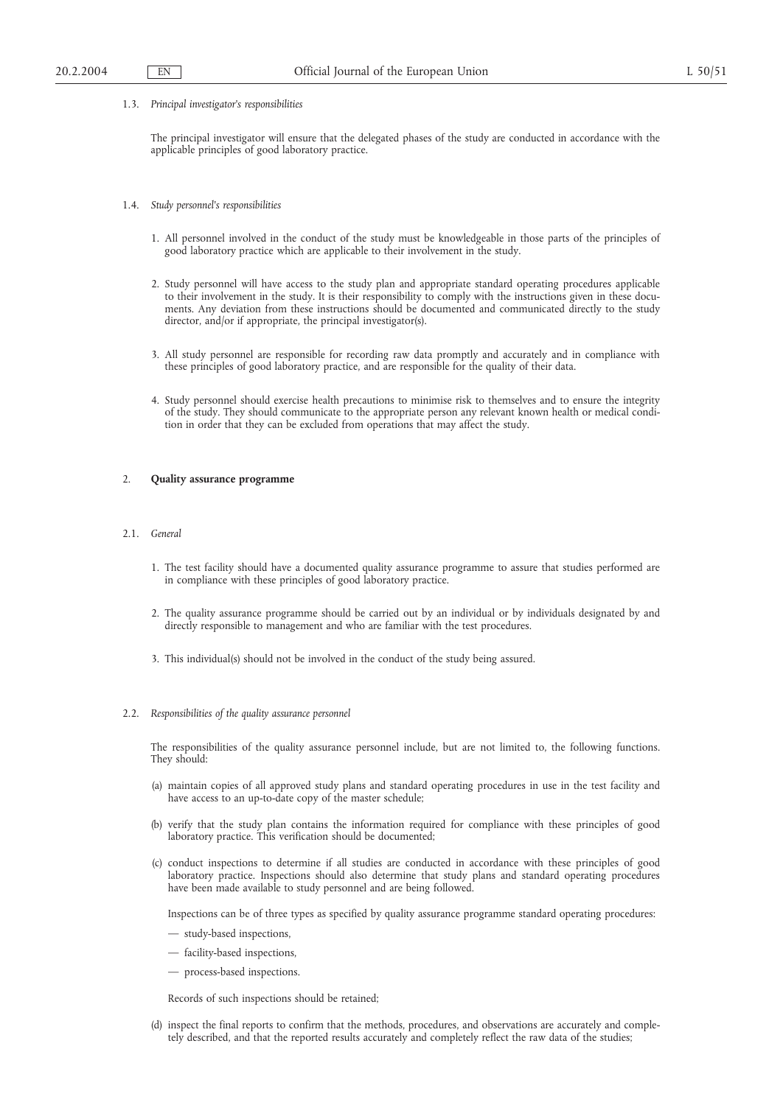1.3. *Principal investigator's responsibilities*

The principal investigator will ensure that the delegated phases of the study are conducted in accordance with the applicable principles of good laboratory practice.

- 1.4. *Study personnel's responsibilities*
	- 1. All personnel involved in the conduct of the study must be knowledgeable in those parts of the principles of good laboratory practice which are applicable to their involvement in the study.
	- 2. Study personnel will have access to the study plan and appropriate standard operating procedures applicable to their involvement in the study. It is their responsibility to comply with the instructions given in these documents. Any deviation from these instructions should be documented and communicated directly to the study director, and/or if appropriate, the principal investigator(s).
	- 3. All study personnel are responsible for recording raw data promptly and accurately and in compliance with these principles of good laboratory practice, and are responsible for the quality of their data.
	- 4. Study personnel should exercise health precautions to minimise risk to themselves and to ensure the integrity of the study. They should communicate to the appropriate person any relevant known health or medical condition in order that they can be excluded from operations that may affect the study.

## 2. **Quality assurance programme**

#### 2.1. *General*

- 1. The test facility should have a documented quality assurance programme to assure that studies performed are in compliance with these principles of good laboratory practice.
- 2. The quality assurance programme should be carried out by an individual or by individuals designated by and directly responsible to management and who are familiar with the test procedures.
- 3. This individual(s) should not be involved in the conduct of the study being assured.

#### 2.2. *Responsibilities of the quality assurance personnel*

The responsibilities of the quality assurance personnel include, but are not limited to, the following functions. They should:

- (a) maintain copies of all approved study plans and standard operating procedures in use in the test facility and have access to an up-to-date copy of the master schedule;
- (b) verify that the study plan contains the information required for compliance with these principles of good laboratory practice. This verification should be documented;
- (c) conduct inspections to determine if all studies are conducted in accordance with these principles of good laboratory practice. Inspections should also determine that study plans and standard operating procedures have been made available to study personnel and are being followed.

Inspections can be of three types as specified by quality assurance programme standard operating procedures:

- study-based inspections,
- facility-based inspections,
- process-based inspections.

Records of such inspections should be retained;

(d) inspect the final reports to confirm that the methods, procedures, and observations are accurately and completely described, and that the reported results accurately and completely reflect the raw data of the studies;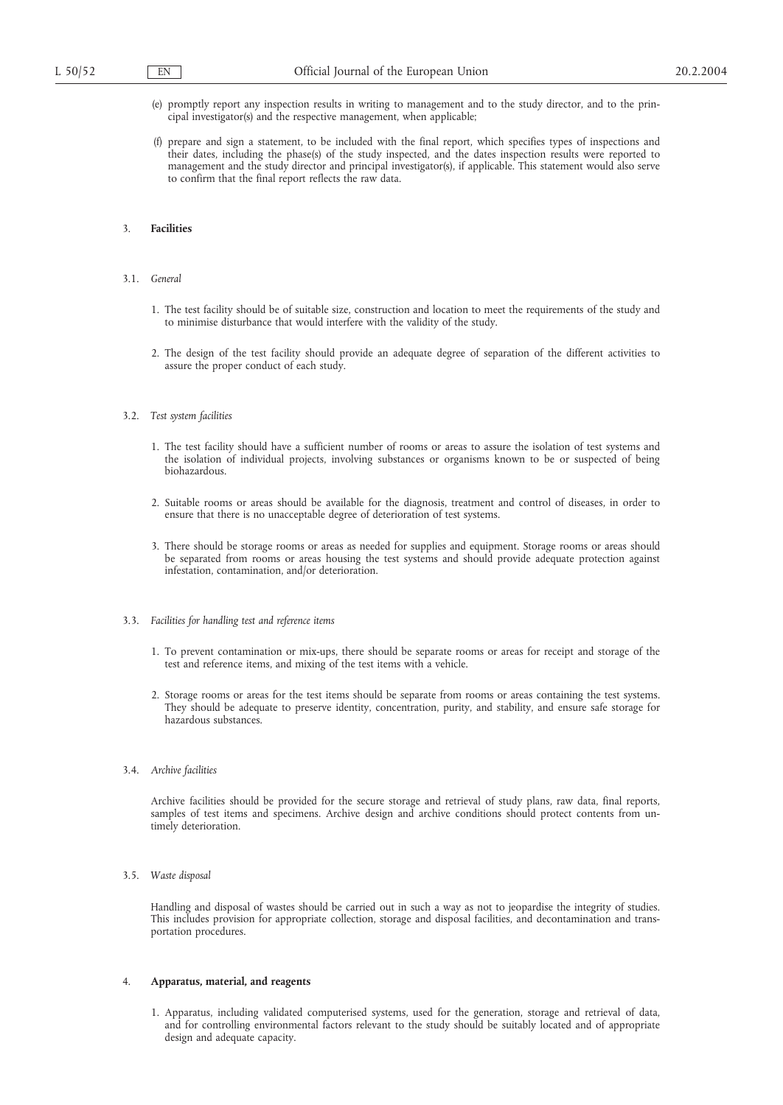- (e) promptly report any inspection results in writing to management and to the study director, and to the principal investigator(s) and the respective management, when applicable;
- (f) prepare and sign a statement, to be included with the final report, which specifies types of inspections and their dates, including the phase(s) of the study inspected, and the dates inspection results were reported to management and the study director and principal investigator(s), if applicable. This statement would also serve to confirm that the final report reflects the raw data.

## 3. **Facilities**

#### 3.1. *General*

- 1. The test facility should be of suitable size, construction and location to meet the requirements of the study and to minimise disturbance that would interfere with the validity of the study.
- 2. The design of the test facility should provide an adequate degree of separation of the different activities to assure the proper conduct of each study.

#### 3.2. *Test system facilities*

- 1. The test facility should have a sufficient number of rooms or areas to assure the isolation of test systems and the isolation of individual projects, involving substances or organisms known to be or suspected of being biohazardous.
- 2. Suitable rooms or areas should be available for the diagnosis, treatment and control of diseases, in order to ensure that there is no unacceptable degree of deterioration of test systems.
- 3. There should be storage rooms or areas as needed for supplies and equipment. Storage rooms or areas should be separated from rooms or areas housing the test systems and should provide adequate protection against infestation, contamination, and/or deterioration.

#### 3.3. *Facilities for handling test and reference items*

- 1. To prevent contamination or mix-ups, there should be separate rooms or areas for receipt and storage of the test and reference items, and mixing of the test items with a vehicle.
- 2. Storage rooms or areas for the test items should be separate from rooms or areas containing the test systems. They should be adequate to preserve identity, concentration, purity, and stability, and ensure safe storage for hazardous substances.
- 3.4. *Archive facilities*

Archive facilities should be provided for the secure storage and retrieval of study plans, raw data, final reports, samples of test items and specimens. Archive design and archive conditions should protect contents from untimely deterioration.

3.5. *Waste disposal*

Handling and disposal of wastes should be carried out in such a way as not to jeopardise the integrity of studies. This includes provision for appropriate collection, storage and disposal facilities, and decontamination and transportation procedures.

#### 4. **Apparatus, material, and reagents**

1. Apparatus, including validated computerised systems, used for the generation, storage and retrieval of data, and for controlling environmental factors relevant to the study should be suitably located and of appropriate design and adequate capacity.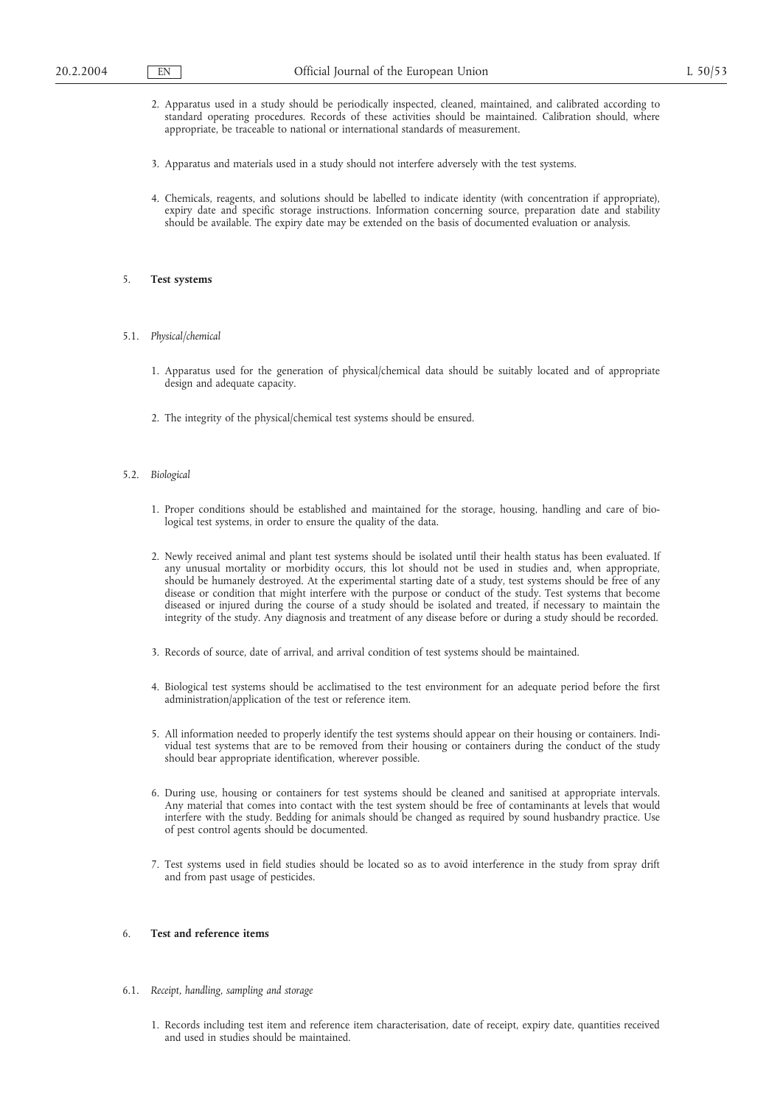- 2. Apparatus used in a study should be periodically inspected, cleaned, maintained, and calibrated according to standard operating procedures. Records of these activities should be maintained. Calibration should, where appropriate, be traceable to national or international standards of measurement.
- 3. Apparatus and materials used in a study should not interfere adversely with the test systems.
- 4. Chemicals, reagents, and solutions should be labelled to indicate identity (with concentration if appropriate), expiry date and specific storage instructions. Information concerning source, preparation date and stability should be available. The expiry date may be extended on the basis of documented evaluation or analysis.

## 5. **Test systems**

- 5.1. *Physical/chemical*
	- 1. Apparatus used for the generation of physical/chemical data should be suitably located and of appropriate design and adequate capacity.
	- 2. The integrity of the physical/chemical test systems should be ensured.
- 5.2. *Biological*
	- 1. Proper conditions should be established and maintained for the storage, housing, handling and care of biological test systems, in order to ensure the quality of the data.
	- 2. Newly received animal and plant test systems should be isolated until their health status has been evaluated. If any unusual mortality or morbidity occurs, this lot should not be used in studies and, when appropriate, should be humanely destroyed. At the experimental starting date of a study, test systems should be free of any disease or condition that might interfere with the purpose or conduct of the study. Test systems that become diseased or injured during the course of a study should be isolated and treated, if necessary to maintain the integrity of the study. Any diagnosis and treatment of any disease before or during a study should be recorded.
	- 3. Records of source, date of arrival, and arrival condition of test systems should be maintained.
	- 4. Biological test systems should be acclimatised to the test environment for an adequate period before the first administration/application of the test or reference item.
	- 5. All information needed to properly identify the test systems should appear on their housing or containers. Individual test systems that are to be removed from their housing or containers during the conduct of the study should bear appropriate identification, wherever possible.
	- 6. During use, housing or containers for test systems should be cleaned and sanitised at appropriate intervals. Any material that comes into contact with the test system should be free of contaminants at levels that would interfere with the study. Bedding for animals should be changed as required by sound husbandry practice. Use of pest control agents should be documented.
	- 7. Test systems used in field studies should be located so as to avoid interference in the study from spray drift and from past usage of pesticides.

## 6. **Test and reference items**

- 6.1. *Receipt, handling, sampling and storage*
	- 1. Records including test item and reference item characterisation, date of receipt, expiry date, quantities received and used in studies should be maintained.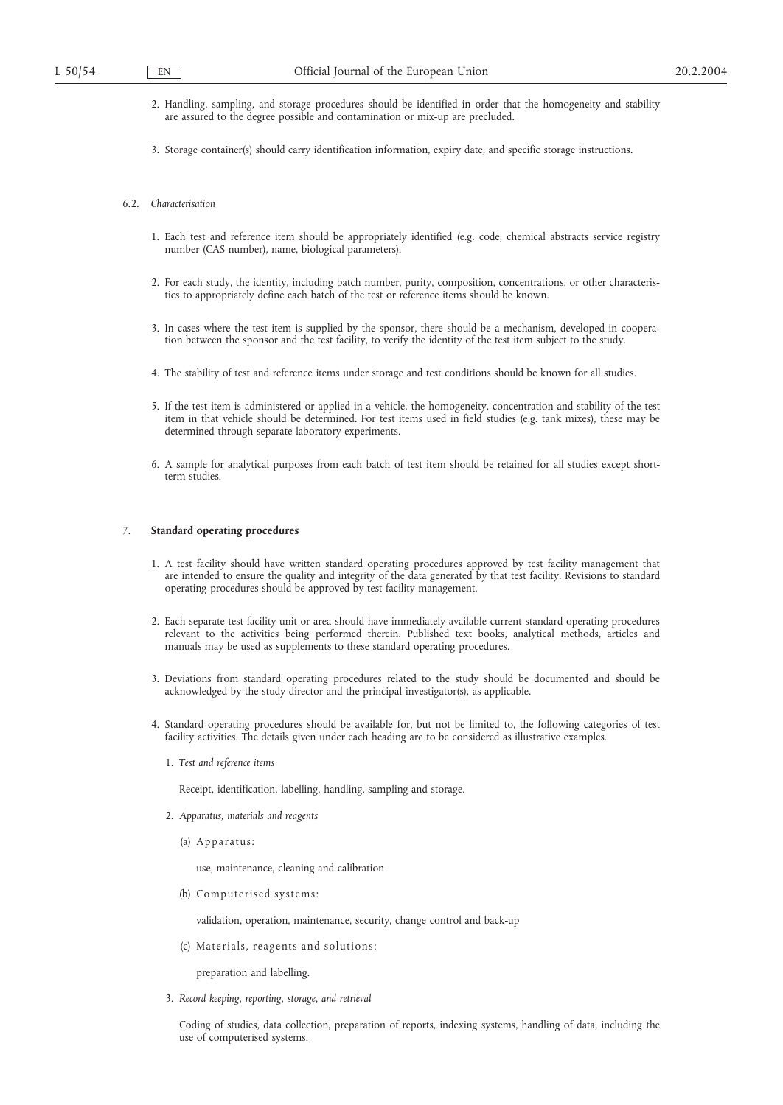- 2. Handling, sampling, and storage procedures should be identified in order that the homogeneity and stability are assured to the degree possible and contamination or mix-up are precluded.
- 3. Storage container(s) should carry identification information, expiry date, and specific storage instructions.

#### 6.2. *Characterisation*

- 1. Each test and reference item should be appropriately identified (e.g. code, chemical abstracts service registry number (CAS number), name, biological parameters).
- 2. For each study, the identity, including batch number, purity, composition, concentrations, or other characteristics to appropriately define each batch of the test or reference items should be known.
- 3. In cases where the test item is supplied by the sponsor, there should be a mechanism, developed in cooperation between the sponsor and the test facility, to verify the identity of the test item subject to the study.
- 4. The stability of test and reference items under storage and test conditions should be known for all studies.
- 5. If the test item is administered or applied in a vehicle, the homogeneity, concentration and stability of the test item in that vehicle should be determined. For test items used in field studies (e.g. tank mixes), these may be determined through separate laboratory experiments.
- 6. A sample for analytical purposes from each batch of test item should be retained for all studies except shortterm studies.

#### 7. **Standard operating procedures**

- 1. A test facility should have written standard operating procedures approved by test facility management that are intended to ensure the quality and integrity of the data generated by that test facility. Revisions to standard operating procedures should be approved by test facility management.
- 2. Each separate test facility unit or area should have immediately available current standard operating procedures relevant to the activities being performed therein. Published text books, analytical methods, articles and manuals may be used as supplements to these standard operating procedures.
- 3. Deviations from standard operating procedures related to the study should be documented and should be acknowledged by the study director and the principal investigator(s), as applicable.
- 4. Standard operating procedures should be available for, but not be limited to, the following categories of test facility activities. The details given under each heading are to be considered as illustrative examples.
	- 1. *Test and reference items*

Receipt, identification, labelling, handling, sampling and storage.

- 2. *Apparatus, materials and reagents*
	- (a) Apparatus:

use, maintenance, cleaning and calibration

(b) Computerised systems:

validation, operation, maintenance, security, change control and back-up

(c) Materials, reagents and solutions:

preparation and labelling.

3. *Record keeping, reporting, storage, and retrieval*

Coding of studies, data collection, preparation of reports, indexing systems, handling of data, including the use of computerised systems.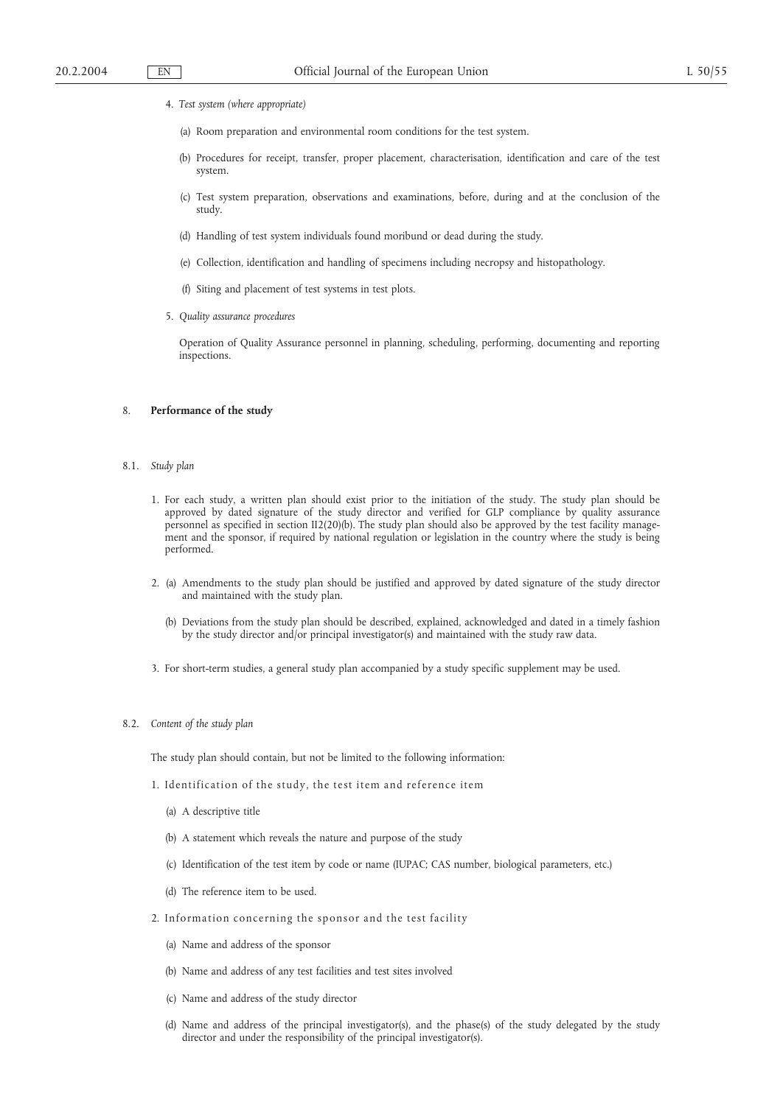- 4. *Test system (where appropriate)*
	- (a) Room preparation and environmental room conditions for the test system.
	- (b) Procedures for receipt, transfer, proper placement, characterisation, identification and care of the test system.
	- (c) Test system preparation, observations and examinations, before, during and at the conclusion of the study.
	- (d) Handling of test system individuals found moribund or dead during the study.
	- (e) Collection, identification and handling of specimens including necropsy and histopathology.
	- (f) Siting and placement of test systems in test plots.
- 5. *Quality assurance procedures*

Operation of Quality Assurance personnel in planning, scheduling, performing, documenting and reporting inspections.

#### 8. **Performance of the study**

## 8.1. *Study plan*

- 1. For each study, a written plan should exist prior to the initiation of the study. The study plan should be approved by dated signature of the study director and verified for GLP compliance by quality assurance personnel as specified in section II2(20)(b). The study plan should also be approved by the test facility management and the sponsor, if required by national regulation or legislation in the country where the study is being performed.
- 2. (a) Amendments to the study plan should be justified and approved by dated signature of the study director and maintained with the study plan.
	- (b) Deviations from the study plan should be described, explained, acknowledged and dated in a timely fashion by the study director and/or principal investigator(s) and maintained with the study raw data.
- 3. For short-term studies, a general study plan accompanied by a study specific supplement may be used.

#### 8.2. *Content of the study plan*

The study plan should contain, but not be limited to the following information:

- 1. Identification of the study, the test item and reference item
	- (a) A descriptive title
	- (b) A statement which reveals the nature and purpose of the study
	- (c) Identification of the test item by code or name (IUPAC; CAS number, biological parameters, etc.)
	- (d) The reference item to be used.
- 2. Information concerning the sponsor and the test facility
	- (a) Name and address of the sponsor
	- (b) Name and address of any test facilities and test sites involved
	- (c) Name and address of the study director
	- (d) Name and address of the principal investigator(s), and the phase(s) of the study delegated by the study director and under the responsibility of the principal investigator(s).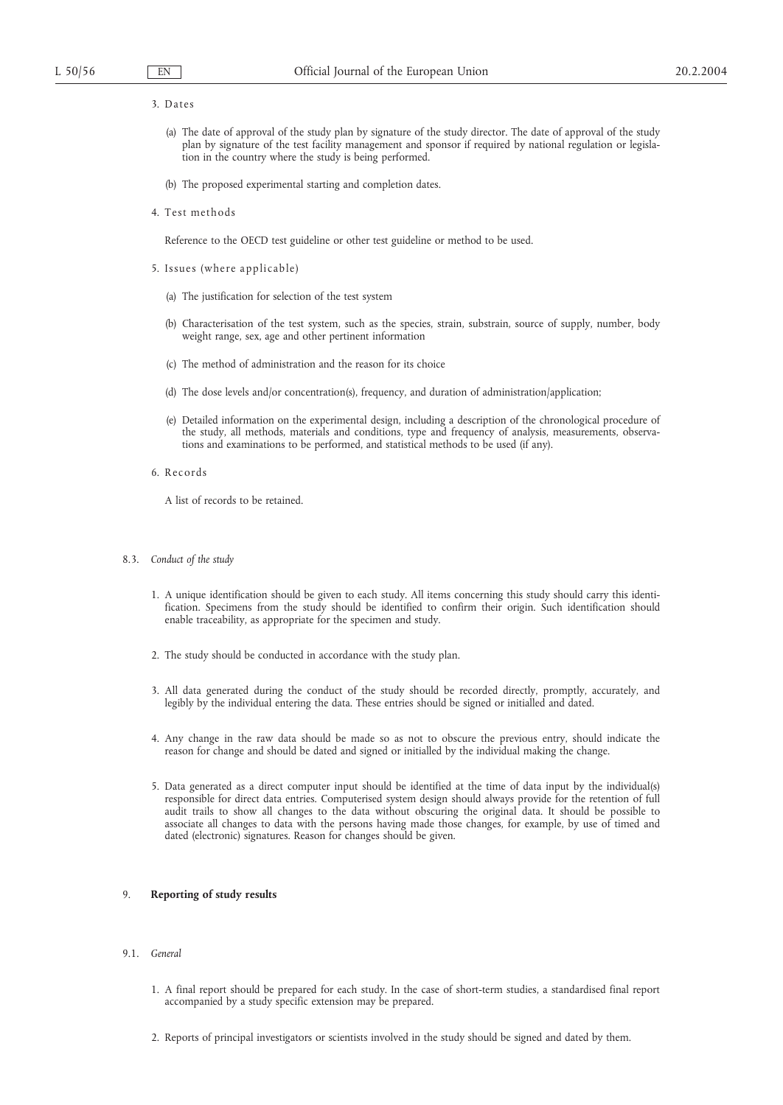#### 3. Da te s

- (a) The date of approval of the study plan by signature of the study director. The date of approval of the study plan by signature of the test facility management and sponsor if required by national regulation or legislation in the country where the study is being performed.
- (b) The proposed experimental starting and completion dates.
- 4. Test methods

Reference to the OECD test guideline or other test guideline or method to be used.

- 5. Issues (where applicable)
	- (a) The justification for selection of the test system
	- (b) Characterisation of the test system, such as the species, strain, substrain, source of supply, number, body weight range, sex, age and other pertinent information
	- (c) The method of administration and the reason for its choice
	- (d) The dose levels and/or concentration(s), frequency, and duration of administration/application;
	- (e) Detailed information on the experimental design, including a description of the chronological procedure of the study, all methods, materials and conditions, type and frequency of analysis, measurements, observations and examinations to be performed, and statistical methods to be used (if any).
- 6. R ec or ds

A list of records to be retained.

- 8.3. *Conduct of the study*
	- 1. A unique identification should be given to each study. All items concerning this study should carry this identification. Specimens from the study should be identified to confirm their origin. Such identification should enable traceability, as appropriate for the specimen and study.
	- 2. The study should be conducted in accordance with the study plan.
	- 3. All data generated during the conduct of the study should be recorded directly, promptly, accurately, and legibly by the individual entering the data. These entries should be signed or initialled and dated.
	- 4. Any change in the raw data should be made so as not to obscure the previous entry, should indicate the reason for change and should be dated and signed or initialled by the individual making the change.
	- 5. Data generated as a direct computer input should be identified at the time of data input by the individual(s) responsible for direct data entries. Computerised system design should always provide for the retention of full audit trails to show all changes to the data without obscuring the original data. It should be possible to associate all changes to data with the persons having made those changes, for example, by use of timed and dated (electronic) signatures. Reason for changes should be given.

#### 9. **Reporting of study results**

- 9.1. *General*
	- 1. A final report should be prepared for each study. In the case of short-term studies, a standardised final report accompanied by a study specific extension may be prepared.
	- 2. Reports of principal investigators or scientists involved in the study should be signed and dated by them.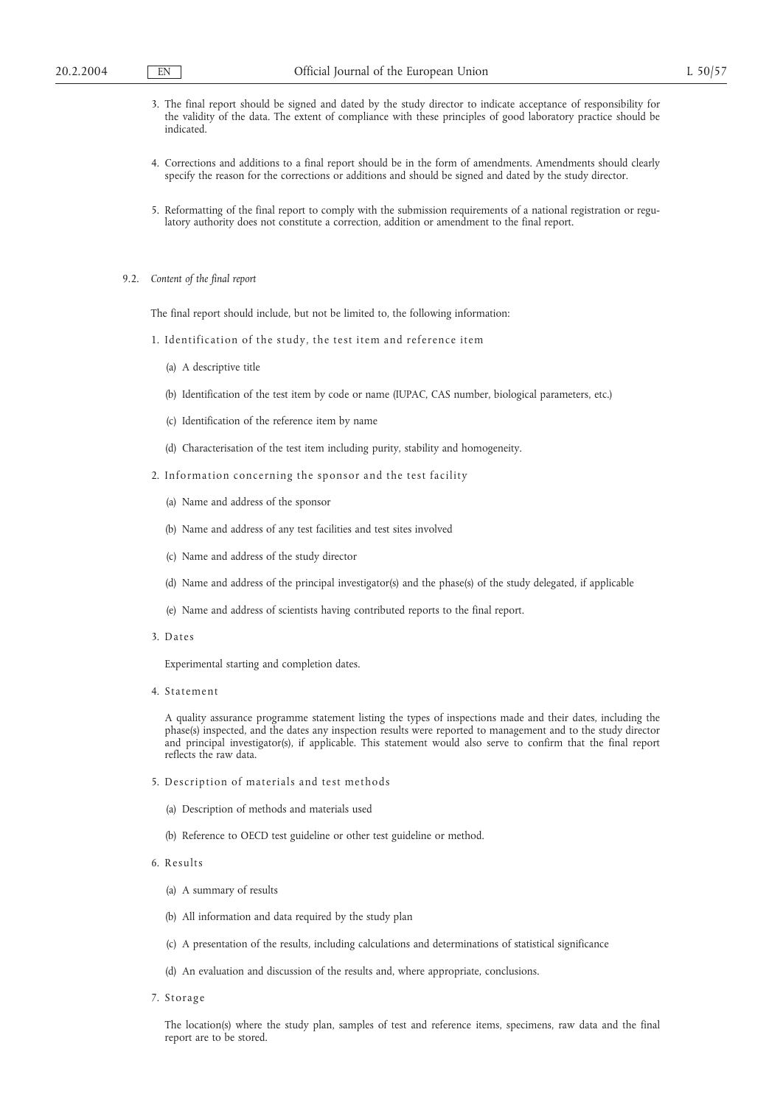- 3. The final report should be signed and dated by the study director to indicate acceptance of responsibility for the validity of the data. The extent of compliance with these principles of good laboratory practice should be indicated.
- 4. Corrections and additions to a final report should be in the form of amendments. Amendments should clearly specify the reason for the corrections or additions and should be signed and dated by the study director.
- 5. Reformatting of the final report to comply with the submission requirements of a national registration or regulatory authority does not constitute a correction, addition or amendment to the final report.
- 9.2. *Content of the final report*

The final report should include, but not be limited to, the following information:

- 1. Identification of the study, the test item and reference item
	- (a) A descriptive title
	- (b) Identification of the test item by code or name (IUPAC, CAS number, biological parameters, etc.)
	- (c) Identification of the reference item by name
	- (d) Characterisation of the test item including purity, stability and homogeneity.
- 2. Information concerning the sponsor and the test facility
	- (a) Name and address of the sponsor
	- (b) Name and address of any test facilities and test sites involved
	- (c) Name and address of the study director
	- (d) Name and address of the principal investigator(s) and the phase(s) of the study delegated, if applicable
	- (e) Name and address of scientists having contributed reports to the final report.
- 3. Dates

Experimental starting and completion dates.

4. Statement

A quality assurance programme statement listing the types of inspections made and their dates, including the phase(s) inspected, and the dates any inspection results were reported to management and to the study director and principal investigator(s), if applicable. This statement would also serve to confirm that the final report reflects the raw data.

- 5. Description of materials and test methods
	- (a) Description of methods and materials used
	- (b) Reference to OECD test guideline or other test guideline or method.
- 6. R esults
	- (a) A summary of results
	- (b) All information and data required by the study plan
	- (c) A presentation of the results, including calculations and determinations of statistical significance
	- (d) An evaluation and discussion of the results and, where appropriate, conclusions.
- 7. Storage

The location(s) where the study plan, samples of test and reference items, specimens, raw data and the final report are to be stored.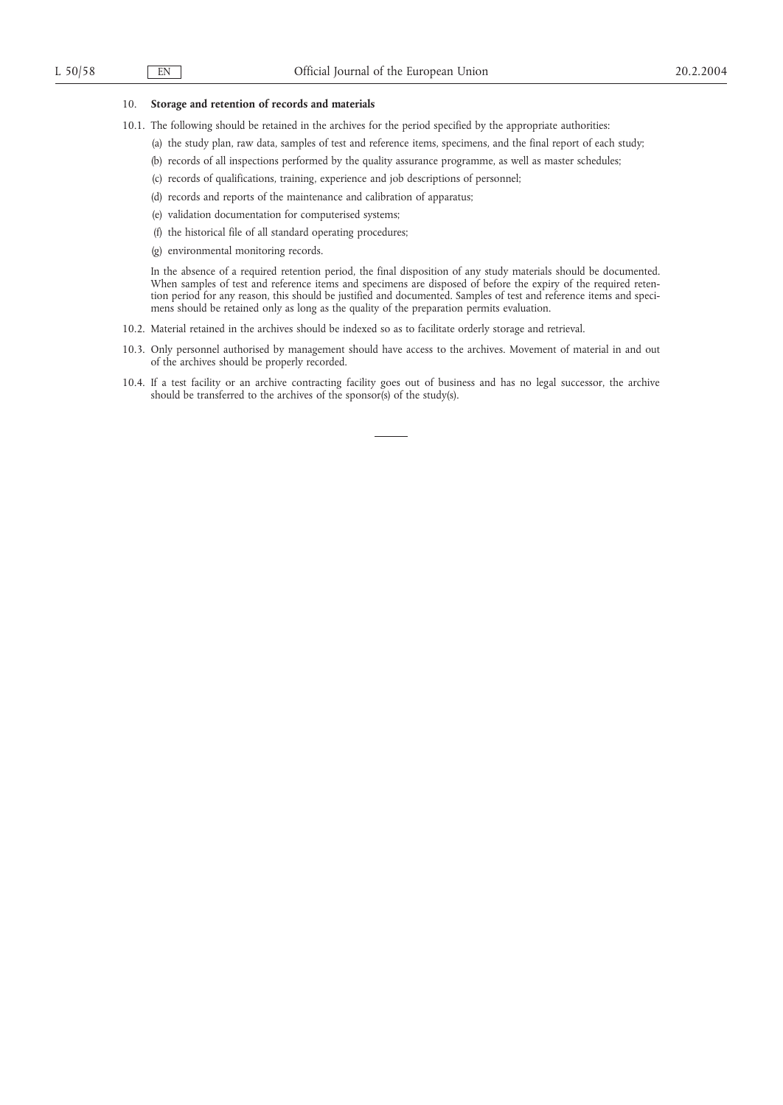## 10. **Storage and retention of records and materials**

- 10.1. The following should be retained in the archives for the period specified by the appropriate authorities:
	- (a) the study plan, raw data, samples of test and reference items, specimens, and the final report of each study;
	- (b) records of all inspections performed by the quality assurance programme, as well as master schedules;
	- (c) records of qualifications, training, experience and job descriptions of personnel;
	- (d) records and reports of the maintenance and calibration of apparatus;
	- (e) validation documentation for computerised systems;
	- (f) the historical file of all standard operating procedures;
	- (g) environmental monitoring records.

In the absence of a required retention period, the final disposition of any study materials should be documented. When samples of test and reference items and specimens are disposed of before the expiry of the required retention period for any reason, this should be justified and documented. Samples of test and reference items and specimens should be retained only as long as the quality of the preparation permits evaluation.

- 10.2. Material retained in the archives should be indexed so as to facilitate orderly storage and retrieval.
- 10.3. Only personnel authorised by management should have access to the archives. Movement of material in and out of the archives should be properly recorded.
- 10.4. If a test facility or an archive contracting facility goes out of business and has no legal successor, the archive should be transferred to the archives of the sponsor(s) of the study(s).